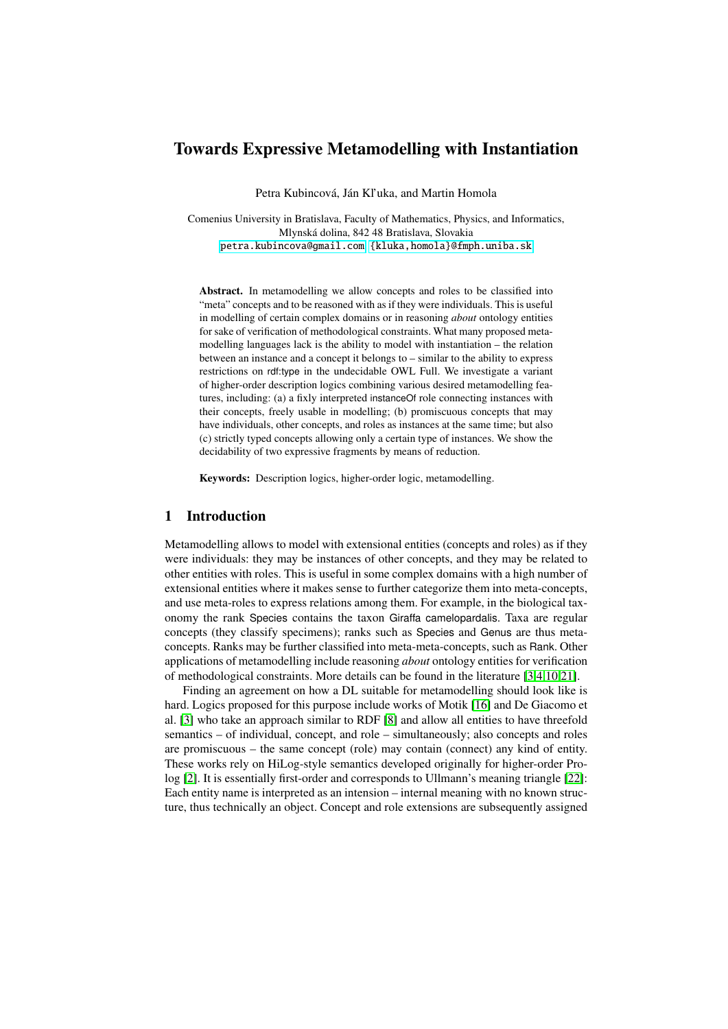# Towards Expressive Metamodelling with Instantiation

Petra Kubincová, Ján Kl'uka, and Martin Homola

Comenius University in Bratislava, Faculty of Mathematics, Physics, and Informatics, Mlynská dolina, 842 48 Bratislava, Slovakia <petra.kubincova@gmail.com>, <{kluka,homola}@fmph.uniba.sk>

Abstract. In metamodelling we allow concepts and roles to be classified into "meta" concepts and to be reasoned with as if they were individuals. This is useful in modelling of certain complex domains or in reasoning *about* ontology entities for sake of verification of methodological constraints. What many proposed metamodelling languages lack is the ability to model with instantiation – the relation between an instance and a concept it belongs to – similar to the ability to express restrictions on rdf:type in the undecidable OWL Full. We investigate a variant of higher-order description logics combining various desired metamodelling features, including: (a) a fixly interpreted instanceOf role connecting instances with their concepts, freely usable in modelling; (b) promiscuous concepts that may have individuals, other concepts, and roles as instances at the same time; but also (c) strictly typed concepts allowing only a certain type of instances. We show the decidability of two expressive fragments by means of reduction.

Keywords: Description logics, higher-order logic, metamodelling.

# 1 Introduction

Metamodelling allows to model with extensional entities (concepts and roles) as if they were individuals: they may be instances of other concepts, and they may be related to other entities with roles. This is useful in some complex domains with a high number of extensional entities where it makes sense to further categorize them into meta-concepts, and use meta-roles to express relations among them. For example, in the biological taxonomy the rank Species contains the taxon Giraffa camelopardalis. Taxa are regular concepts (they classify specimens); ranks such as Species and Genus are thus metaconcepts. Ranks may be further classified into meta-meta-concepts, such as Rank. Other applications of metamodelling include reasoning *about* ontology entities for verification of methodological constraints. More details can be found in the literature [\[3](#page-11-0)[,4](#page-11-1)[,10,](#page-11-2)[21\]](#page-11-3).

Finding an agreement on how a DL suitable for metamodelling should look like is hard. Logics proposed for this purpose include works of Motik [\[16\]](#page-11-4) and De Giacomo et al. [\[3\]](#page-11-0) who take an approach similar to RDF [\[8\]](#page-11-5) and allow all entities to have threefold semantics – of individual, concept, and role – simultaneously; also concepts and roles are promiscuous – the same concept (role) may contain (connect) any kind of entity. These works rely on HiLog-style semantics developed originally for higher-order Prolog [\[2\]](#page-11-6). It is essentially first-order and corresponds to Ullmann's meaning triangle [\[22\]](#page-11-7): Each entity name is interpreted as an intension – internal meaning with no known structure, thus technically an object. Concept and role extensions are subsequently assigned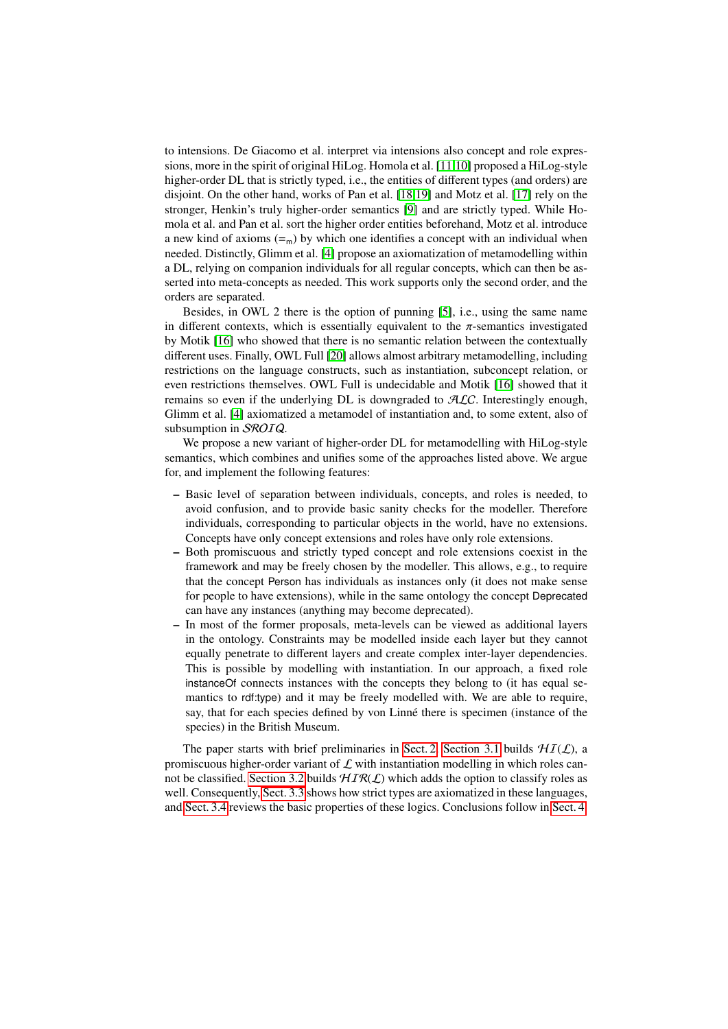to intensions. De Giacomo et al. interpret via intensions also concept and role expressions, more in the spirit of original HiLog. Homola et al. [\[11](#page-11-8)[,10\]](#page-11-2) proposed a HiLog-style higher-order DL that is strictly typed, i.e., the entities of different types (and orders) are disjoint. On the other hand, works of Pan et al. [\[18](#page-11-9)[,19\]](#page-11-10) and Motz et al. [\[17\]](#page-11-11) rely on the stronger, Henkin's truly higher-order semantics [\[9\]](#page-11-12) and are strictly typed. While Homola et al. and Pan et al. sort the higher order entities beforehand, Motz et al. introduce a new kind of axioms  $(=_{m})$  by which one identifies a concept with an individual when needed. Distinctly, Glimm et al. [\[4\]](#page-11-1) propose an axiomatization of metamodelling within a DL, relying on companion individuals for all regular concepts, which can then be asserted into meta-concepts as needed. This work supports only the second order, and the orders are separated.

Besides, in OWL 2 there is the option of punning [\[5\]](#page-11-13), i.e., using the same name in different contexts, which is essentially equivalent to the  $\pi$ -semantics investigated by Motik [\[16\]](#page-11-4) who showed that there is no semantic relation between the contextually different uses. Finally, OWL Full [\[20\]](#page-11-14) allows almost arbitrary metamodelling, including restrictions on the language constructs, such as instantiation, subconcept relation, or even restrictions themselves. OWL Full is undecidable and Motik [\[16\]](#page-11-4) showed that it remains so even if the underlying DL is downgraded to  $ALC$ . Interestingly enough, Glimm et al. [\[4\]](#page-11-1) axiomatized a metamodel of instantiation and, to some extent, also of subsumption in SROIQ.

We propose a new variant of higher-order DL for metamodelling with HiLog-style semantics, which combines and unifies some of the approaches listed above. We argue for, and implement the following features:

- Basic level of separation between individuals, concepts, and roles is needed, to avoid confusion, and to provide basic sanity checks for the modeller. Therefore individuals, corresponding to particular objects in the world, have no extensions. Concepts have only concept extensions and roles have only role extensions.
- Both promiscuous and strictly typed concept and role extensions coexist in the framework and may be freely chosen by the modeller. This allows, e.g., to require that the concept Person has individuals as instances only (it does not make sense for people to have extensions), while in the same ontology the concept Deprecated can have any instances (anything may become deprecated).
- In most of the former proposals, meta-levels can be viewed as additional layers in the ontology. Constraints may be modelled inside each layer but they cannot equally penetrate to different layers and create complex inter-layer dependencies. This is possible by modelling with instantiation. In our approach, a fixed role instanceOf connects instances with the concepts they belong to (it has equal semantics to rdf:type) and it may be freely modelled with. We are able to require, say, that for each species defined by von Linné there is specimen (instance of the species) in the British Museum.

The paper starts with brief preliminaries in [Sect. 2.](#page-2-0) [Section 3.1](#page-4-0) builds  $H_I(\mathcal{L})$ , a promiscuous higher-order variant of  $\mathcal L$  with instantiation modelling in which roles can-not be classified. [Section 3.2](#page-7-0) builds  $HIR(\mathcal{L})$  which adds the option to classify roles as well. Consequently, [Sect. 3.3](#page-9-0) shows how strict types are axiomatized in these languages, and [Sect. 3.4](#page-9-1) reviews the basic properties of these logics. Conclusions follow in [Sect. 4.](#page-10-0)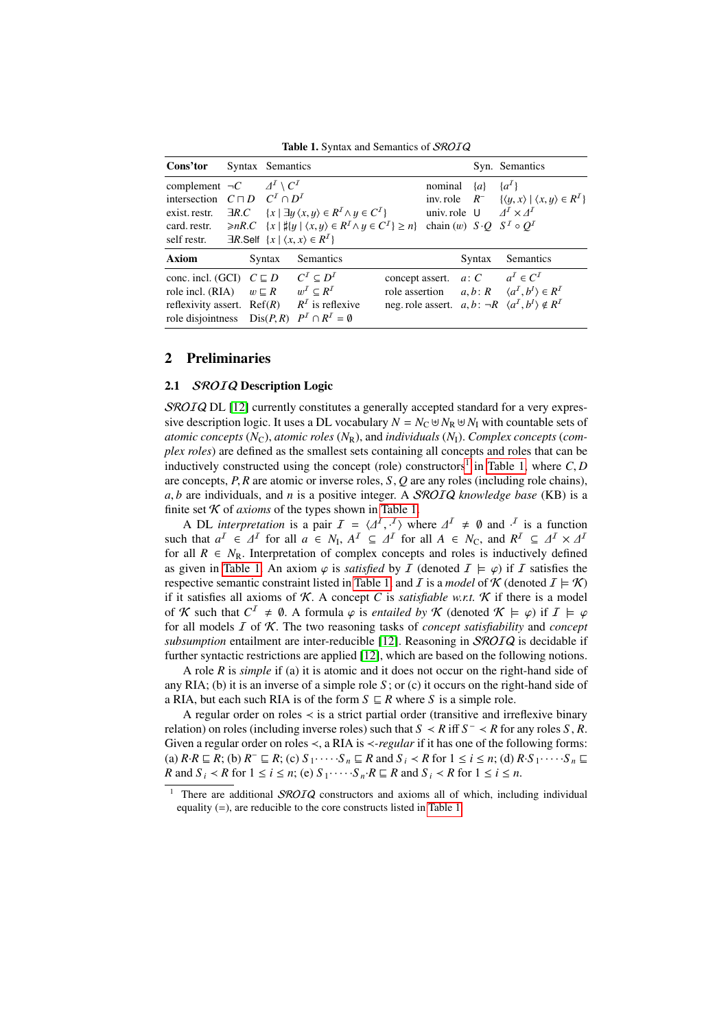Table 1. Syntax and Semantics of SROIQ

<span id="page-2-2"></span>

| Cons'tor                                                                                                                                    | Syntax Semantics |        |                                                                                                                                                                                                                                                                                           |         |                                                                                      | Syn. Semantics                                                                                                                                                                 |
|---------------------------------------------------------------------------------------------------------------------------------------------|------------------|--------|-------------------------------------------------------------------------------------------------------------------------------------------------------------------------------------------------------------------------------------------------------------------------------------------|---------|--------------------------------------------------------------------------------------|--------------------------------------------------------------------------------------------------------------------------------------------------------------------------------|
| complement $\neg C$ $\varDelta^I \setminus C^I$<br>intersection $C \sqcap D$ $C^I \cap D^I$<br>exist. restr.<br>card. restr.<br>self restr. |                  |        | $\exists R.C \quad \{x \mid \exists y \langle x, y \rangle \in R^I \land y \in C^I\}$<br>$\geq nR.C \quad \{x \mid \sharp\{y \mid \langle x, y \rangle \in R^{\mathcal{I}} \land y \in C^{\mathcal{I}}\} \geq n\}$<br>$\exists R.\mathsf{Self} \ \{x \mid \langle x, x \rangle \in R^I\}$ | nominal | $\{a\}$<br>univ. role $U \t A^T \times A^T$<br>chain (w) $S \cdot Q$ $S^I \circ Q^I$ | $\{a^I\}$<br>inv. role $R^- \{ \langle y, x \rangle \mid \langle x, y \rangle \in R^T \}$                                                                                      |
| <b>Axiom</b>                                                                                                                                |                  | Syntax | Semantics                                                                                                                                                                                                                                                                                 |         | Syntax                                                                               | Semantics                                                                                                                                                                      |
| conc. incl. (GCI) $C \sqsubseteq D$<br>role incl. (RIA)<br>reflexivity assert. $Ref(R)$                                                     |                  |        | $C^I \subset D^I$<br>$w \sqsubseteq R$ $w^I \subseteq R^I$<br>$RT$ is reflexive<br>role disjointness $Dis(P, R)$ $PT \cap RT = \emptyset$                                                                                                                                                 |         |                                                                                      | concept assert. $a: C$ $a^T \in C^T$<br>role assertion $a, b: R \langle a^I, b^I \rangle \in R^I$<br>neg. role assert. $a, b$ : $\neg R$ $\langle a^I, b^I \rangle \notin R^I$ |

## <span id="page-2-0"></span>2 Preliminaries

## <span id="page-2-3"></span>2.1 SROIQ Description Logic

SROIQ DL [\[12\]](#page-11-15) currently constitutes a generally accepted standard for a very expressive description logic. It uses a DL vocabulary  $N = N_C \oplus N_R \oplus N_I$  with countable sets of *atomic concepts*  $(N_C)$ , *atomic roles*  $(N_R)$ , and *individuals*  $(N_I)$ . *Complex concepts* (*complex roles*) are defined as the smallest sets containing all concepts and roles that can be inductively constructed using the concept (role) constructors<sup>[1](#page-2-1)</sup> in [Table 1,](#page-2-2) where  $C, D$ <br>are concepts. *P. R* are atomic or inverse roles, *S. O* are any roles (including role chains). are concepts, *<sup>P</sup>*, *<sup>R</sup>* are atomic or inverse roles, *<sup>S</sup>*, *<sup>Q</sup>* are any roles (including role chains), *<sup>a</sup>*, *<sup>b</sup>* are individuals, and *<sup>n</sup>* is a positive integer. A SROIQ *knowledge base* (KB) is a finite set  $K$  of *axioms* of the types shown in [Table 1.](#page-2-2)

A DL *interpretation* is a pair  $I = \langle \Delta^I, \cdot^I \rangle$  where  $\Delta^I \neq \emptyset$  and  $\cdot^I$  is a function<br>b that  $a^I \in \Delta^I$  for all  $a \in N$ ,  $\Delta^I \subset \Delta^I$  for all  $A \in N_0$  and  $R^I \subset \Delta^I \times \Delta^I$ such that  $a^I \in \Delta^I$  for all  $a \in N_I$ ,  $A^I \subseteq \Delta^I$  for all  $A \in N_C$ , and  $R^I \subseteq \Delta^I \times \Delta^I$ <br>for all  $R \in N_D$ . Interpretation of complex concepts and roles is inductively defined for all  $R \in N_R$ . Interpretation of complex concepts and roles is inductively defined as given in [Table 1.](#page-2-2) An axiom  $\varphi$  is *satisfied* by I (denoted  $I \models \varphi$ ) if I satisfies the respective semantic constraint listed in [Table 1,](#page-2-2) and I is a *model* of K (denoted  $I \models K$ ) if it satisfies all axioms of  $K$ . A concept C is *satisfiable w.r.t.*  $K$  if there is a model of K such that  $C^I \neq \emptyset$ . A formula  $\varphi$  is *entailed by* K (denoted  $\mathcal{K} \models \varphi$ ) if  $I \models \varphi$  for all models  $I$  of K. The two reasoning tasks of *concent satisfiability* and *concent* for all models I of K. The two reasoning tasks of *concept satisfiability* and *concept subsumption* entailment are inter-reducible [\[12\]](#page-11-15). Reasoning in SROIQ is decidable if further syntactic restrictions are applied [\[12\]](#page-11-15), which are based on the following notions.

A role *R* is *simple* if (a) it is atomic and it does not occur on the right-hand side of any RIA; (b) it is an inverse of a simple role  $S$ ; or (c) it occurs on the right-hand side of a RIA, but each such RIA is of the form  $S \subseteq R$  where *S* is a simple role.

A regular order on roles ≺ is a strict partial order (transitive and irreflexive binary relation) on roles (including inverse roles) such that  $S \prec R$  iff  $S^- \prec R$  for any roles  $S, R$ . Given a regular order on roles ≺, a RIA is ≺*-regular* if it has one of the following forms: (a)  $R \cdot R \sqsubseteq R$ ; (b)  $R^- \sqsubseteq R$ ; (c)  $S_1 \cdot \cdot \cdot \cdot S_n \sqsubseteq R$  and  $S_i \prec R$  for  $1 \le i \le n$ ; (d)  $R \cdot S_1 \cdot \cdot \cdot \cdot S_n \sqsubseteq R$ *R* and  $S_i \prec R$  for  $1 \le i \le n$ ; (e)  $S_1 \cdots S_n \cdot R \sqsubseteq R$  and  $S_i \prec R$  for  $1 \le i \le n$ .

<span id="page-2-1"></span>There are additional SROIQ constructors and axioms all of which, including individual equality (=), are reducible to the core constructs listed in [Table 1.](#page-2-2)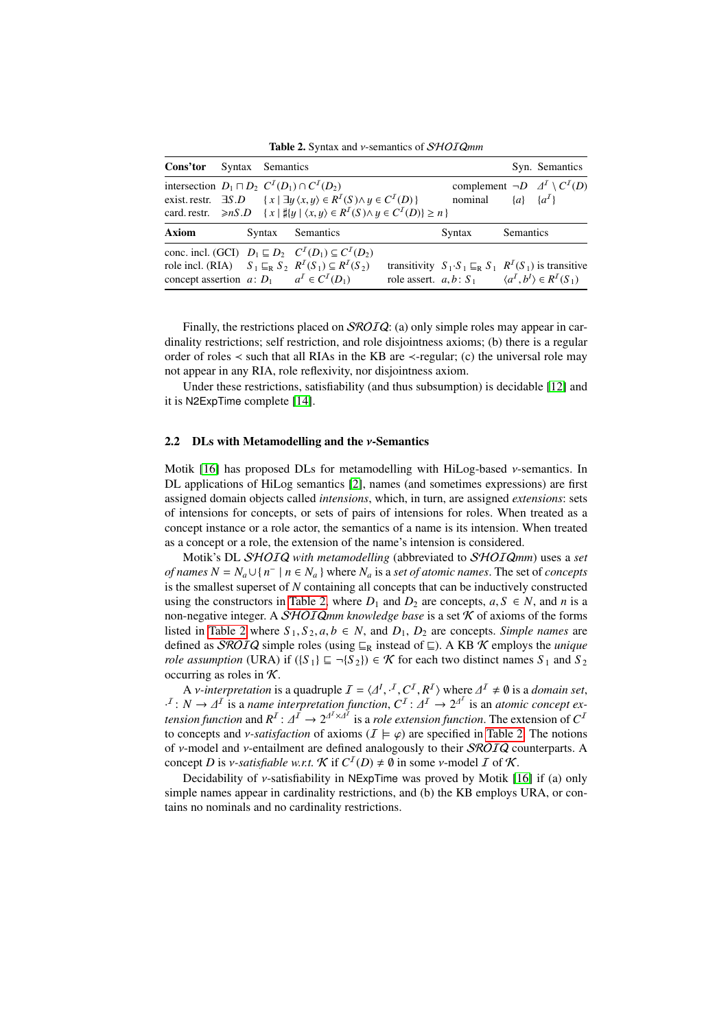<span id="page-3-0"></span>Table 2. Syntax and ν-semantics of SHOIQ*mm* Cons'tor Syntax Semantics Syn. Semantics intersection  $D_1 \sqcap D_2$   $C^I(D_1) \cap C^I$  $(D_2)$  complement ¬*D* ∆<br>∈  $R^T(S) \wedge u \in C^T(D)$ } nominal {a} {a}  $\iota^I\setminus C^I(D)$ exist. restr.  $\exists S.D$  {  $x \mid \exists y \langle x, y \rangle \in R^{I}(S) \land y \in C^{I}$ <br>card restr.  $>_{P}S.D$  {  $x \mid \exists y \exists y \langle x, y \rangle \in R^{I}(S) \land y \in C^{I}$  $\{a\}$  $^{I}$ card. restr.  $\ge nS.D$  { *x* |  $\sharp \{y \mid \langle x, y \rangle \in R^{\mathcal{I}}(S) \land y \in C^{\mathcal{I}}(D)\} \ge n$  } Axiom Syntax Semantics Syntax Semantics conc. incl. (GCI)  $D_1 \sqsubseteq D_2$  $I<sup>I</sup>(D<sub>1</sub>) ⊆ C<sup>I</sup>(D<sub>2</sub>)$ role incl. (RIA)  $I^I(S_1) \subseteq R^I$  $(S_2)$  transitivity  $S_1 \cdot S_1 \sqsubseteq_R S_1$   $R^I(S_1)$  is transitive concept assertion *a*: *D*<sub>1</sub>  $I^I \in C^I$ role assert. *a*, *b*: *S*<sub>1</sub>  $\langle B^I, b^I \rangle \in R^I(S_1)$ 

Finally, the restrictions placed on *SROIQ*: (a) only simple roles may appear in cardinality restrictions; self restriction, and role disjointness axioms; (b) there is a regular order of roles  $\prec$  such that all RIAs in the KB are  $\prec$ -regular; (c) the universal role may not appear in any RIA, role reflexivity, nor disjointness axiom.

Under these restrictions, satisfiability (and thus subsumption) is decidable [\[12\]](#page-11-15) and it is N2ExpTime complete [\[14\]](#page-11-16).

### <span id="page-3-1"></span>2.2 DLs with Metamodelling and the ν-Semantics

Motik  $[16]$  has proposed DLs for metamodelling with HiLog-based  $\nu$ -semantics. In DL applications of HiLog semantics [\[2\]](#page-11-6), names (and sometimes expressions) are first assigned domain objects called *intensions*, which, in turn, are assigned *extensions*: sets of intensions for concepts, or sets of pairs of intensions for roles. When treated as a concept instance or a role actor, the semantics of a name is its intension. When treated as a concept or a role, the extension of the name's intension is considered.

Motik's DL SHOIQ *with metamodelling* (abbreviated to SHOIQ*mm*) uses a *set of names N* =  $N_a \cup \{n^- | n \in N_a\}$  where  $N_a$  is a *set of atomic names*. The set of *concepts* is the smallest superset of *N* containing all concepts that can be inductively constructed using the constructors in [Table 2,](#page-3-0) where  $D_1$  and  $D_2$  are concepts,  $a, S \in N$ , and *n* is a non-negative integer. A  $\mathcal{S}$ HOIQ*mm knowledge base* is a set  $\mathcal K$  of axioms of the forms listed in [Table 2](#page-3-0) where  $S_1, S_2, a, b \in N$ , and  $D_1, D_2$  are concepts. *Simple names* are defined as *SROIQ* simple roles (using  $E_R$  instead of  $E$ ). A KB K employs the *unique role assumption* (URA) if  $({S_1} \subseteq \neg {S_2}) \in K$  for each two distinct names  $S_1$  and  $S_2$ occurring as roles in  $K$ .

A *v*-interpretation is a quadruple  $I = \langle A^I, {}^J, C^I, R^I \rangle$  where  $A^I \neq \emptyset$  is a *domain set*,<br> $N \rightarrow A^I$  is a *name interpretation function*  $C^I \cdot A^I \rightarrow 2^{A^I}$  is an *atomic concent ex-*A *v*-interpretation is a quadruple  $I = \langle A^I, \cdot^I, C^I, R^I \rangle$  where  $A^I \neq \emptyset$  is a *domain set*,<br>  $I: N \to A^I$  is a *name interpretation function*,  $C^I: A^I \to 2^{A^I}$  is an *atomic concept extension function* and  $R^I: A^I \$ *tension function* and  $R^I: \Delta^I \to 2^{\Delta^I \times \Delta^I}$  is a *role extension function*. The extension of  $C^I$ <br>to concents and *y*-satisfaction of axioms  $(I \models \emptyset)$  are specified in Table 2. The notions to concepts and *v*-*satisfaction* of axioms ( $I \models \varphi$ ) are specified in [Table 2.](#page-3-0) The notions of v-model and v-entailment are defined analogously to their  $SROIQ$  counterparts. A concept *D* is *v*-satisfiable w.r.t.  $K$  if  $C^I(D) \neq \emptyset$  in some *v*-model *I* of K.<br>Decidently of *y* satisfiability in NEXATime was proved by Motik L.

Decidability of *v*-satisfiability in NExpTime was proved by Motik [\[16\]](#page-11-4) if (a) only simple names appear in cardinality restrictions, and (b) the KB employs URA, or contains no nominals and no cardinality restrictions.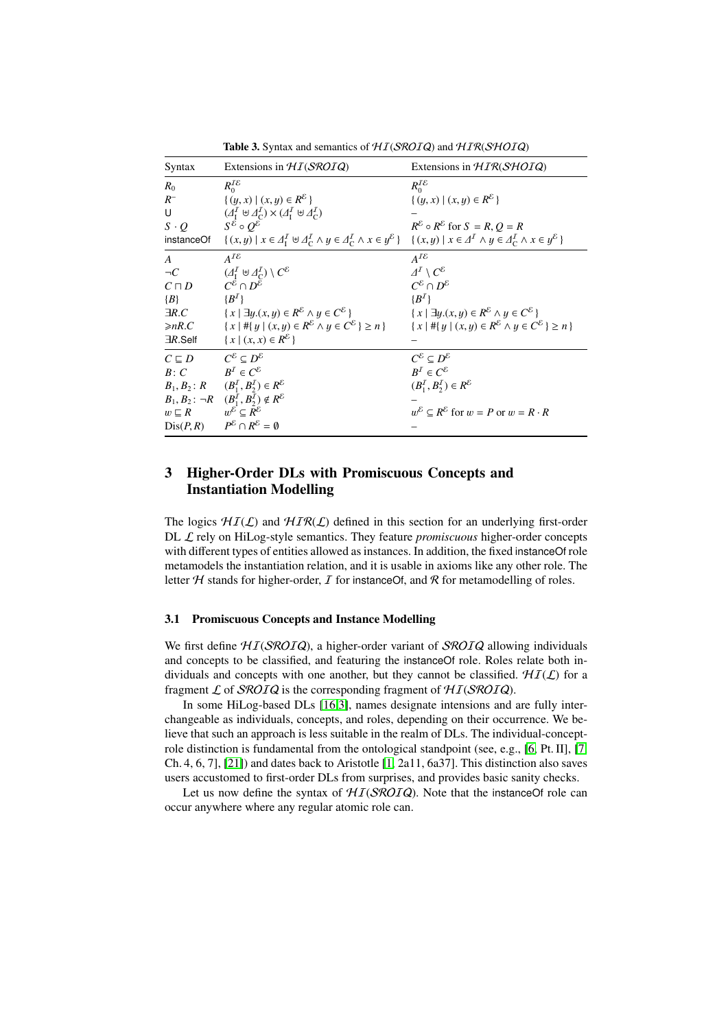Table 3. Syntax and semantics of  $H_I(SROIQ)$  and  $HIR(SHOIQ)$ 

<span id="page-4-1"></span>

| Syntax            | Extensions in $H_I(SROIQ)$                                                                                                                                                                    | Extensions in <i>HIR(SHOIQ)</i>                                                         |
|-------------------|-----------------------------------------------------------------------------------------------------------------------------------------------------------------------------------------------|-----------------------------------------------------------------------------------------|
| $R_0$             | $R_0^{I\mathcal{E}}$                                                                                                                                                                          | $R_0^{I\mathcal{E}}$                                                                    |
| $R^-$             | $\{(y, x)   (x, y) \in R^{\mathcal{E}}\}\$                                                                                                                                                    | $\{(y, x)   (x, y) \in R^{\mathcal{E}}\}\$                                              |
| U                 | $(\varDelta_{I}^{I} \uplus \varDelta_{C}^{I}) \times (\varDelta_{I}^{I} \uplus \varDelta_{C}^{I})$                                                                                            |                                                                                         |
| $S \cdot O$       | $S^{\mathcal{E}} \circ O^{\mathcal{E}}$                                                                                                                                                       | $R^{\varepsilon} \circ R^{\varepsilon}$ for $S = R, O = R$                              |
| instanceOf        | $\{(x,y) \mid x \in \Delta_1^I \cup \Delta_1^I \wedge y \in \Delta_1^I \wedge x \in y^{\mathcal{E}}\}$ $\{(x,y) \mid x \in \Delta_1^I \wedge y \in \Delta_1^I \wedge x \in y^{\mathcal{E}}\}$ |                                                                                         |
| A                 | $A^{I\mathcal{E}}$                                                                                                                                                                            | $A^{I\mathcal{E}}$                                                                      |
| $\neg C$          | $(A^I_{\mathrm{I}} \cup A^I_{\mathrm{C}}) \setminus C^{\mathcal{E}}$                                                                                                                          | $A^I \setminus C^{\mathcal{E}}$                                                         |
| $C \sqcap D$      | $C^{\mathcal{E}} \cap D^{\tilde{\mathcal{E}}}$                                                                                                                                                | $C^{\mathcal{E}} \cap D^{\mathcal{E}}$                                                  |
| $\{B\}$           | $\{B^I\}$                                                                                                                                                                                     | $\{B^I\}$                                                                               |
| $\exists R.C$     | $\{x \mid \exists y \cdot (x, y) \in R^{\mathcal{E}} \land y \in C^{\mathcal{E}}\}$                                                                                                           | $\{x \mid \exists y \cdot (x, y) \in R^{\mathcal{E}} \land y \in C^{\mathcal{E}}\}\$    |
| $\geqslant nR.C$  | $\{x \mid \# \{y \mid (x, y) \in R^{\mathcal{E}} \land y \in C^{\mathcal{E}}\} \geq n\}$                                                                                                      | $\{x \mid \#\{y \mid (x, y) \in R^{\mathcal{E}} \land y \in C^{\mathcal{E}}\} \geq n\}$ |
| $\exists R$ .Self | $\{x \mid (x, x) \in R^{\mathcal{E}}\}\$                                                                                                                                                      |                                                                                         |
| $C \sqsubseteq D$ | $C^{\mathcal{E}} \subset D^{\mathcal{E}}$                                                                                                                                                     | $C^{\mathcal{E}} \subseteq D^{\mathcal{E}}$                                             |
| B: C              | $B^I \in C^{\mathcal{E}}$                                                                                                                                                                     | $B^I \in C^{\mathcal{E}}$                                                               |
|                   | $B_1, B_2$ : $R$ $(B_1^I, B_2^I) \in R^{\mathcal{E}}$                                                                                                                                         | $(B_1^I, B_2^I) \in R^{\mathcal{E}}$                                                    |
|                   | $B_1, B_2$ : $\neg R$ $(B_1^{\overline{I}}, B_2^{\overline{I}}) \notin R^{\mathcal{E}}$                                                                                                       |                                                                                         |
| $w \sqsubseteq R$ | $w^{\mathcal{E}} \subset R^{\mathcal{E}}$                                                                                                                                                     | $w^{\mathcal{E}} \subset R^{\mathcal{E}}$ for $w = P$ or $w = R \cdot R$                |
|                   | $Dis(P, R)$ $P^{\mathcal{E}} \cap R^{\mathcal{E}} = \emptyset$                                                                                                                                |                                                                                         |

# 3 Higher-Order DLs with Promiscuous Concepts and Instantiation Modelling

The logics  $H_I(\mathcal{L})$  and  $H_I(\mathcal{R}(\mathcal{L}))$  defined in this section for an underlying first-order DL L rely on HiLog-style semantics. They feature *promiscuous* higher-order concepts with different types of entities allowed as instances. In addition, the fixed instanceOf role metamodels the instantiation relation, and it is usable in axioms like any other role. The letter  $H$  stands for higher-order,  $I$  for instance Of, and  $R$  for metamodelling of roles.

#### <span id="page-4-0"></span>3.1 Promiscuous Concepts and Instance Modelling

We first define  $HISROIQ$ , a higher-order variant of  $SROIQ$  allowing individuals and concepts to be classified, and featuring the instanceOf role. Roles relate both individuals and concepts with one another, but they cannot be classified.  $H_I(\mathcal{L})$  for a fragment  $\mathcal L$  of SROIQ is the corresponding fragment of  $H_I(SROIQ)$ .

In some HiLog-based DLs [\[16](#page-11-4)[,3\]](#page-11-0), names designate intensions and are fully interchangeable as individuals, concepts, and roles, depending on their occurrence. We believe that such an approach is less suitable in the realm of DLs. The individual-conceptrole distinction is fundamental from the ontological standpoint (see, e.g., [\[6,](#page-11-17) Pt. II], [\[7,](#page-11-18) Ch. 4, 6, 7], [\[21\]](#page-11-3)) and dates back to Aristotle [\[1,](#page-11-19) 2a11, 6a37]. This distinction also saves users accustomed to first-order DLs from surprises, and provides basic sanity checks.

Let us now define the syntax of  $H_I(SROIQ)$ . Note that the instance Of role can occur anywhere where any regular atomic role can.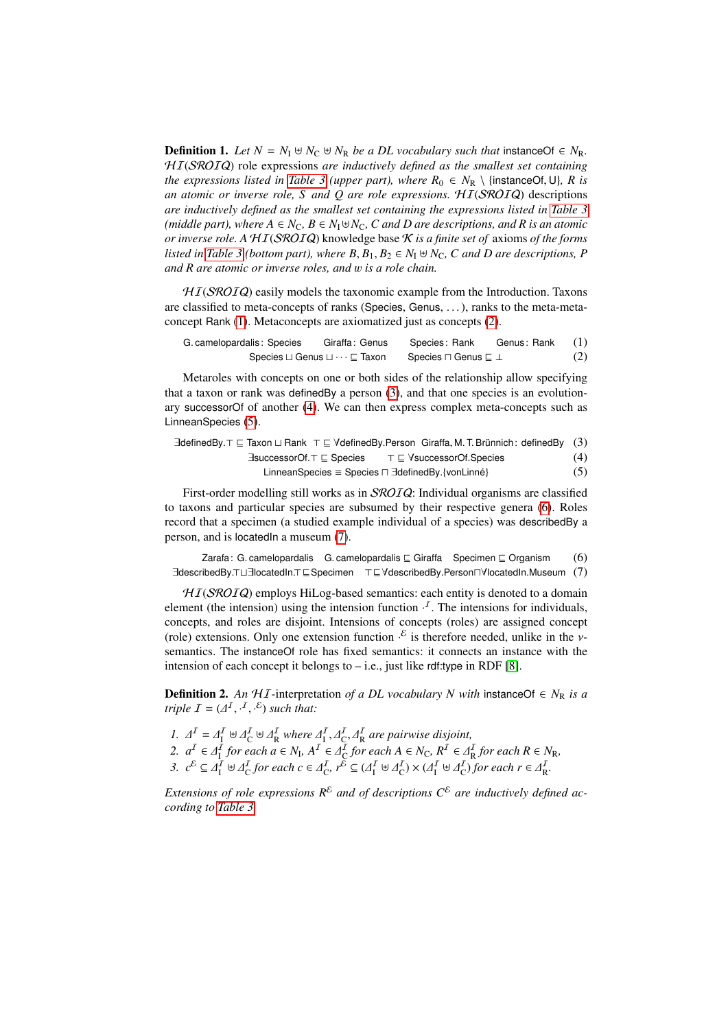**Definition 1.** *Let*  $N = N_I \oplus N_C \oplus N_R$  *be a DL vocabulary such that* instanceOf ∈  $N_R$ . HI(SROIQ) role expressions *are inductively defined as the smallest set containing the expressions listed in [Table 3](#page-4-1) (upper part), where*  $R_0 \in N_R \setminus \{instanceOf, U\}$ *, R is an atomic or inverse role, S and Q are role expressions.* HI(SROIQ) descriptions *are inductively defined as the smallest set containing the expressions listed in [Table 3](#page-4-1)*  $(middle part)$ , where  $A \in N_C$ ,  $B \in N_1 \biguplus N_C$ , C and D are descriptions, and R is an atomic *or inverse role. A* HI(SROIQ) knowledge base K *is a finite set of* axioms *of the forms listed in [Table 3](#page-4-1)* (*bottom part*), where  $B, B_1, B_2 \in N_I \oplus N_C$ , C and D are descriptions, P *and R are atomic or inverse roles, and* w *is a role chain.*

 $HISROIQ$  easily models the taxonomic example from the Introduction. Taxons are classified to meta-concepts of ranks (Species, Genus, . . . ), ranks to the meta-metaconcept Rank [\(1\)](#page-5-0). Metaconcepts are axiomatized just as concepts [\(2\)](#page-5-1).

<span id="page-5-1"></span><span id="page-5-0"></span>

| G. camelopardalis: Species | Giraffa: Genus                                           | Species: Rank                             | Genus: Rank (1) |     |
|----------------------------|----------------------------------------------------------|-------------------------------------------|-----------------|-----|
|                            | Species $\sqcup$ Genus $\sqcup \cdots \sqsubseteq$ Taxon | Species $\sqcap$ Genus $\sqsubseteq \bot$ |                 | (2) |

Metaroles with concepts on one or both sides of the relationship allow specifying that a taxon or rank was definedBy a person [\(3\)](#page-5-2), and that one species is an evolutionary successorOf of another [\(4\)](#page-5-3). We can then express complex meta-concepts such as LinneanSpecies [\(5\)](#page-5-4).

<span id="page-5-4"></span><span id="page-5-3"></span><span id="page-5-2"></span>

| $\exists$ definedBy. $\top \sqsubseteq$ Taxon $\sqcup$ Rank $\top \sqsubseteq \forall$ definedBy. Person Giraffa, M. T. Brünnich: definedBy (3) |     |
|-------------------------------------------------------------------------------------------------------------------------------------------------|-----|
| T ⊑ VsuccessorOf.Species<br>$\exists$ successorOf. $\top \sqsubseteq$ Species                                                                   | (4) |
| LinneanSpecies $\equiv$ Species $\sqcap$ 3definedBy.{vonLinné}                                                                                  | (5) |

First-order modelling still works as in *SROIQ*: Individual organisms are classified to taxons and particular species are subsumed by their respective genera [\(6\)](#page-5-5). Roles record that a specimen (a studied example individual of a species) was describedBy a person, and is locatedIn a museum [\(7\)](#page-5-6).

<span id="page-5-6"></span><span id="page-5-5"></span>

| Zarafa: G. camelopardalis G. camelopardalis $\subseteq$ Giraffa Specimen $\subseteq$ Organism                                                                               |  | (6) |
|-----------------------------------------------------------------------------------------------------------------------------------------------------------------------------|--|-----|
| $\exists$ describedBy. $\top$ $\sqcup$ $\exists$ locatedIn. $\top \sqsubseteq$ Specimen $\top \sqsubseteq \forall$ describedBy.Person $\sqcap \forall$ locatedIn.Museum (7) |  |     |

 $HISROIQ$ ) employs HiLog-based semantics: each entity is denoted to a domain element (the intension) using the intension function  $\cdot^{I}$ . The intensions for individuals, concepts, and roles are disjoint. Intensions of concepts (roles) are assigned concept (role) extensions. Only one extension function  $\mathcal{E}$  is therefore needed, unlike in the *y*-<br>semantics. The instance of role has fixed semantics: it connects an instance with the semantics. The instanceOf role has fixed semantics: it connects an instance with the intension of each concept it belongs to  $-$  i.e., just like rdf:type in RDF [\[8\]](#page-11-5).

**Definition 2.** An  $H I$ -interpretation of a DL vocabulary N with instanceOf ∈  $N_R$  is a *triple*  $I = (\Delta^I, \cdot^I, \cdot^{\mathcal{E}})$  *such that:* 

*1.*  $\Delta^I = \Delta^I_I \oplus \Delta^I$   $\Delta^I$  where  $\Delta^I_I$ ,  $\Delta^I$ ,  $\Delta^I$  are pairwise disjoint,<br>
2.  $\Delta^I = \Delta^I$  for each a.C. N.  $\Delta^I = \Delta^I$  for each  $\Delta \in N$ ,  $P^I = \Delta^I$ *z*,  $a^I \in A_I^I$  for each  $a \in N_I$ ,  $A^I \in A_I^I$  for each  $A \in N_C$ ,  $R^I \in A_I^I$  for each  $R \in N_R$ ,<br>  $\overline{A} \in \overline{A}$  is  $A^I$  for each  $a \in A^I$ ,  $\overline{A} \in \overline{A}$  ( $A^I$ )  $\vee$  ( $A^I$ ) is  $A^I$ ) for each  $x \in A^I$ . 3.  $c^{\mathcal{E}} \subseteq \Delta_{\mathbf{I}}^{I} \oplus \Delta_{\mathbf{C}}^{I}$  *for each*  $c \in \Delta_{\mathbf{C}}^{I}$ ,  $r^{\mathcal{E}} \subseteq (\Delta_{\mathbf{I}}^{I} \oplus \Delta_{\mathbf{C}}^{I}) \times (\Delta_{\mathbf{I}}^{I} \oplus \Delta_{\mathbf{C}}^{I})$  *for each*  $r \in \Delta_{\mathbf{R}}^{I}$ .

Extensions of role expressions  $R^{\varepsilon}$  and of descriptions  $C^{\varepsilon}$  are inductively defined ac*cording to [Table 3.](#page-4-1)*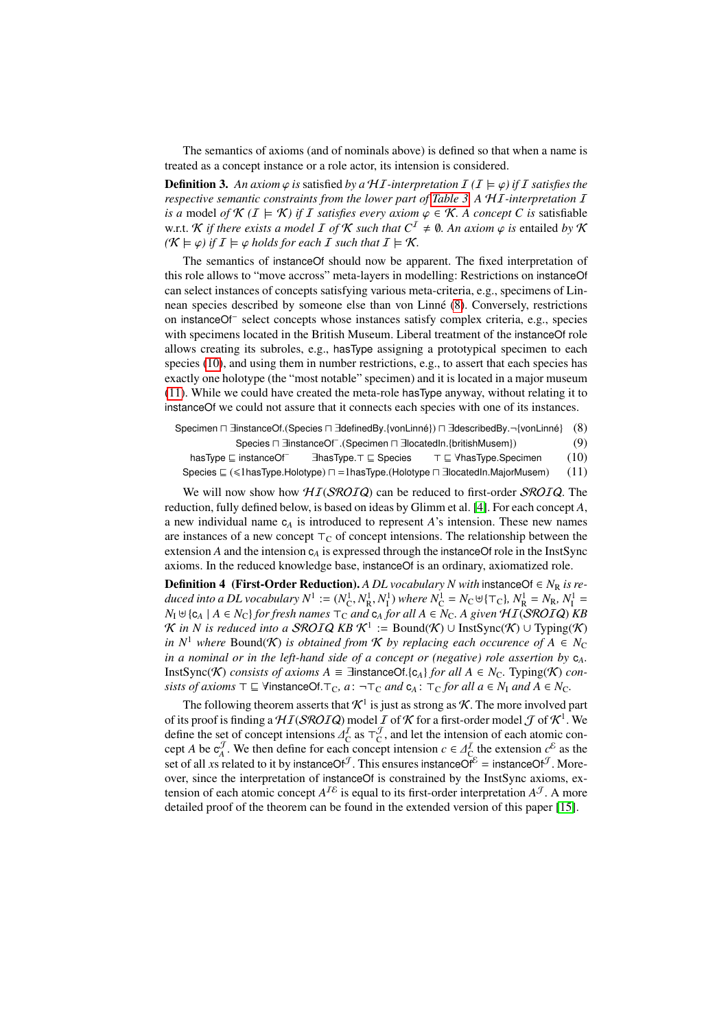The semantics of axioms (and of nominals above) is defined so that when a name is treated as a concept instance or a role actor, its intension is considered.

**Definition 3.** An axiom  $\varphi$  is satisfied by a HI-interpretation I (I  $\models \varphi$ ) if I satisfies the *respective semantic constraints from the lower part of [Table 3.](#page-4-1) A* HI*-interpretation* I *is a* model *of*  $\mathcal{K}$  ( $I \models \mathcal{K}$ ) *if I satisfies every axiom*  $\varphi \in \mathcal{K}$ *. A concept C is* satisfiable w.r.t. K *if there exists a model* I of K *such that*  $C^I \neq \emptyset$ . An axiom  $\varphi$  *is* entailed by K  $(K \models \varphi)$  *if*  $I \models \varphi$  *holds for each*  $I$  *such that*  $I \models K$ *.* 

The semantics of instanceOf should now be apparent. The fixed interpretation of this role allows to "move accross" meta-layers in modelling: Restrictions on instanceOf can select instances of concepts satisfying various meta-criteria, e.g., specimens of Linnean species described by someone else than von Linné [\(8\)](#page-6-0). Conversely, restrictions on instanceOf<sup>−</sup> select concepts whose instances satisfy complex criteria, e.g., species with specimens located in the British Museum. Liberal treatment of the instanceOf role allows creating its subroles, e.g., hasType assigning a prototypical specimen to each species [\(10\)](#page-6-1), and using them in number restrictions, e.g., to assert that each species has exactly one holotype (the "most notable" specimen) and it is located in a major museum [\(11\)](#page-6-2). While we could have created the meta-role hasType anyway, without relating it to instanceOf we could not assure that it connects each species with one of its instances.

| Specimen $\sqcap$ 3instanceOf.(Species $\sqcap$ 3definedBy. [vonLinné}) $\sqcap$ 3describedBy. $\neg$ {vonLinné} |                                               |                                             |      |  |
|------------------------------------------------------------------------------------------------------------------|-----------------------------------------------|---------------------------------------------|------|--|
| Species $\sqcap$ 3instance Of $\lceil$ . (Specimen $\sqcap$ 3located In. {british Musem})                        |                                               |                                             |      |  |
| has Type $\sqsubseteq$ instance Of                                                                               | $\exists$ hasType. $\top \sqsubseteq$ Species | $\top \sqsubseteq \forall$ hasType.Specimen | (10) |  |
| Species $\Gamma$ (<1bas Type Holotype) $\Gamma$ -1bas Type (Holotype $\Gamma$ Hocatedla Major Musem)             |                                               |                                             | (11) |  |

<span id="page-6-2"></span><span id="page-6-1"></span><span id="page-6-0"></span>Species  $\sqsubseteq (\leq 1$ hasType.Holotype)  $\sqcap =1$ hasType.(Holotype  $\sqcap \exists$ locatedIn.MajorMusem) (11)

We will now show how  $HISROIQ$  can be reduced to first-order SROIQ. The reduction, fully defined below, is based on ideas by Glimm et al. [\[4\]](#page-11-1). For each concept *A*, a new individual name c*<sup>A</sup>* is introduced to represent *A*'s intension. These new names are instances of a new concept  $\tau_c$  of concept intensions. The relationship between the extension *A* and the intension  $c_A$  is expressed through the instance Of role in the InstSync axioms. In the reduced knowledge base, instanceOf is an ordinary, axiomatized role.

**Definition 4** (First-Order Reduction). *A DL vocabulary N with* instanceOf ∈  $N_R$  *is reduced into a DL vocabulary*  $N^1 := (N^1_C, N^1_R, N^1_I)$  where  $N^1_C = N_C \uplus {\{\top_C\}}$ ,  $N^1_R = N_R$ ,  $N^1_I = N_I$ .<br>  $N^1 \uplus C_1 \downarrow A \in N_C$  for fresh names  $\top_G$  and  $C_1$  for all  $A \in N_C$ , A given  $HIC$  **SROTO**), KB *N*<sub>I</sub> ⊎ {c<sub>*A*</sub> | *A* ∈ *N*<sub>C</sub>} *for fresh names*  $\tau$ <sub>C</sub> *and* c<sub>*A*</sub> *for all A* ∈ *N*<sub>C</sub>. *A given*  $H I(SROIQ)$  *KB* K in N is reduced into a SROIQ KB K<sup>1</sup> := Bound(K) ∪ InstSync(K) ∪ Typing(K) *in*  $N^1$  *where* Bound(K) *is obtained from* K *by replacing each occurence of*  $A \in N_C$ *in a nominal or in the left-hand side of a concept or (negative) role assertion by* c*A.* InstSync(K) *consists of axioms*  $A \equiv$  ∃instanceOf.{c<sub>A</sub>} *for all*  $A \in N_C$ . Typing(K) *consists of axioms*  $\top \sqsubseteq \forall$  *instanceOf.*  $\top_C$ *, a*:  $\neg \top_C$  *and*  $c_A$ :  $\top_C$  *for all*  $a \in N_I$  *and*  $A \in N_C$ .

<span id="page-6-3"></span>The following theorem asserts that  $\mathcal{K}^1$  is just as strong as  $\mathcal{K}$ . The more involved part of its proof is finding a  $\mathcal{H}I(SROIQ)$  model  $I$  of  $\mathcal K$  for a first-order model  $\mathcal J$  of  $\mathcal K^1.$  We define the set of concept intensions  $\Delta_C^T$  as  $\tau_C^J$ <br>cent 4 be  $c^J$ . We then define for each concept  $\mathcal{C}$ , and let the intension of each atomic concept *A* be  $c_A^{\mathcal{J}}$ *A*. We then define for each concept intension  $c \in \Delta_1^{\mathcal{I}}$  the extension  $c^{\mathcal{E}}$  as the related to it by instance Of *J*. This ensures instance Of  $^{\mathcal{E}}$  – instance Of *J*. Moreset of all *xs* related to it by instanceOf<sup>T</sup>. This ensures instanceOf<sup>E</sup> = instanceOf<sup>T</sup>. Moreover, since the interpretation of instanceOf is constrained by the InstSync axioms, extension of each atomic concept  $A^{I\mathcal{E}}$  is equal to its first-order interpretation  $A^{J}$ . A more detailed proof of the theorem can be found in the extended version of this paper [\[15\]](#page-11-20).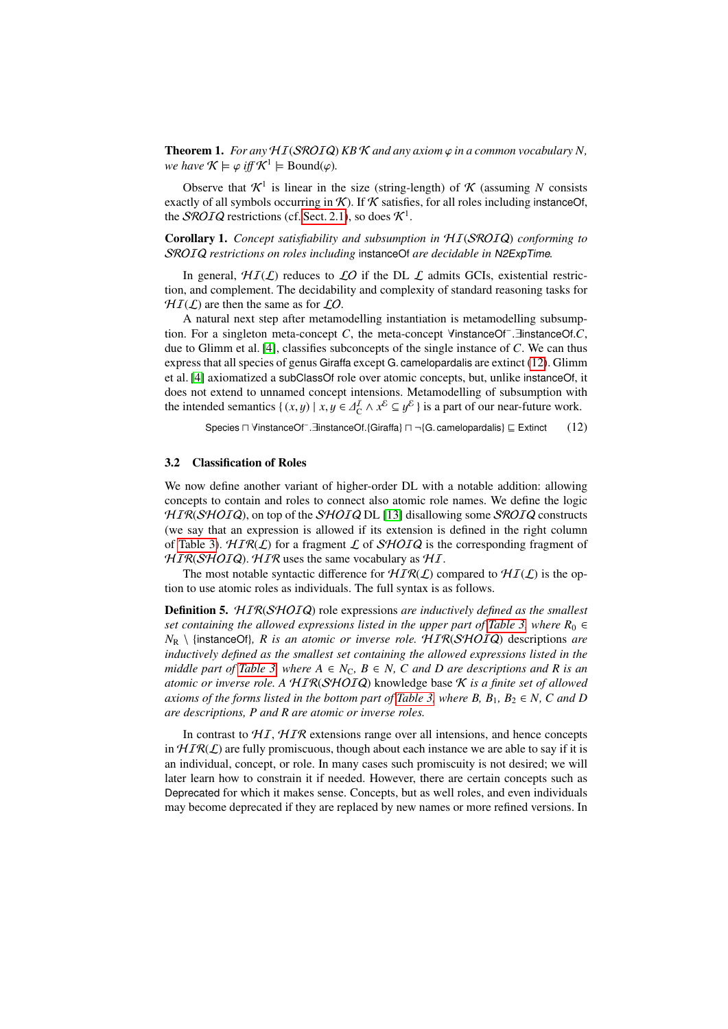**Theorem 1.** *For any*  $HI(SROIQ)$   $KB K$  *and any axiom*  $\varphi$  *in a common vocabulary N*, *we have*  $\mathcal{K} \models \varphi$  *iff*  $\mathcal{K}^1 \models \text{Bound}(\varphi)$ *.* 

Observe that  $K^1$  is linear in the size (string-length) of K (assuming N consists exactly of all symbols occurring in  $\mathcal{K}$ ). If  $\mathcal{K}$  satisfies, for all roles including instance Of, the *SROIQ* restrictions (cf. [Sect. 2.1\)](#page-2-3), so does  $\mathcal{K}^1$ .

Corollary 1. *Concept satisfiability and subsumption in* HI(SROIQ) *conforming to* SROIQ *restrictions on roles including* instanceOf *are decidable in* N2ExpTime*.*

In general,  $HI(L)$  reduces to  $LO$  if the DL  $L$  admits GCIs, existential restriction, and complement. The decidability and complexity of standard reasoning tasks for  $H_I(\mathcal{L})$  are then the same as for  $\mathcal{L}O$ .

A natural next step after metamodelling instantiation is metamodelling subsumption. For a singleton meta-concept *C*, the meta-concept ∀instanceOf⊤.∃instanceOf.*C*, the single instance Of *C*, We can thus due to Glimm et al. [\[4\]](#page-11-1), classifies subconcepts of the single instance of *C*. We can thus express that all species of genus Giraffa except G. camelopardalis are extinct [\(12\)](#page-7-1). Glimm et al. [\[4\]](#page-11-1) axiomatized a subClassOf role over atomic concepts, but, unlike instanceOf, it does not extend to unnamed concept intensions. Metamodelling of subsumption with the intended semantics  $\{(x, y) | x, y \in \Delta_C^{\mathcal{I}} \wedge x^{\mathcal{E}} \subseteq y^{\mathcal{E}}\}$  is a part of our near-future work.

<span id="page-7-1"></span>Species ⊓ YinstanceOf<sup>-</sup>.∃instanceOf.{Giraffa} <sub>Π</sub> ¬{G. camelopardalis} ⊑ Extinct (12)

### <span id="page-7-0"></span>3.2 Classification of Roles

We now define another variant of higher-order DL with a notable addition: allowing concepts to contain and roles to connect also atomic role names. We define the logic  $HIR(SHOIQ)$ , on top of the SHOIQ DL [\[13\]](#page-11-21) disallowing some SROIQ constructs (we say that an expression is allowed if its extension is defined in the right column of [Table 3\)](#page-4-1).  $HIR(\mathcal{L})$  for a fragment  $\mathcal L$  of SHOIQ is the corresponding fragment of  $HIR(SHOIQ)$ .  $HIR$  uses the same vocabulary as  $HI$ .

The most notable syntactic difference for  $HIR(\mathcal{L})$  compared to  $HI(\mathcal{L})$  is the option to use atomic roles as individuals. The full syntax is as follows.

Definition 5. HIR(SHOIQ) role expressions *are inductively defined as the smallest set containing the allowed expressions listed in the upper part of [Table 3,](#page-4-1) where*  $R_0 \in$ *N*<sup>R</sup> \ {instanceOf}*, R is an atomic or inverse role.* HIR(SHOIQ) descriptions *are inductively defined as the smallest set containing the allowed expressions listed in the middle part of [Table 3,](#page-4-1) where*  $A \in N_C$ ,  $B \in N$ , C and D are descriptions and R is an *atomic or inverse role. A* HIR(SHOIQ) knowledge base K *is a finite set of allowed axioms of the forms listed in the bottom part of [Table 3,](#page-4-1) where B,*  $B_1$ *,*  $B_2 \in N$ *, C and D are descriptions, P and R are atomic or inverse roles.*

In contrast to  $H\overline{I}$ ,  $H\overline{I}R$  extensions range over all intensions, and hence concepts in  $HIR(\mathcal{L})$  are fully promiscuous, though about each instance we are able to say if it is an individual, concept, or role. In many cases such promiscuity is not desired; we will later learn how to constrain it if needed. However, there are certain concepts such as Deprecated for which it makes sense. Concepts, but as well roles, and even individuals may become deprecated if they are replaced by new names or more refined versions. In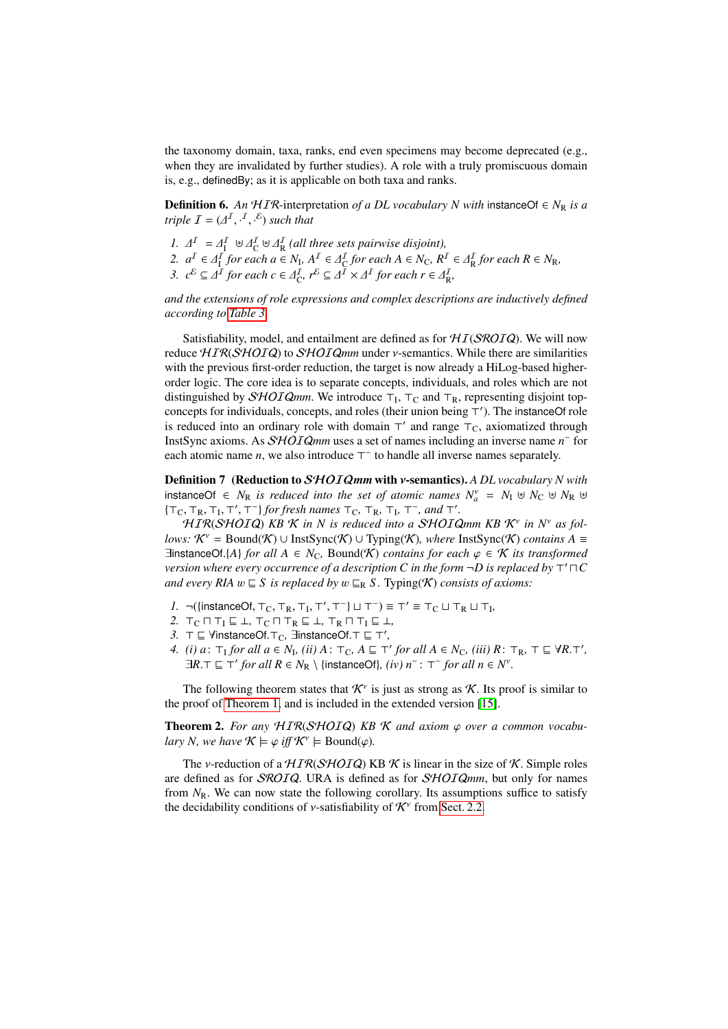the taxonomy domain, taxa, ranks, end even specimens may become deprecated (e.g., when they are invalidated by further studies). A role with a truly promiscuous domain is, e.g., definedBy; as it is applicable on both taxa and ranks.

**Definition 6.** An  $HIR$ -interpretation of a DL vocabulary N with instanceOf ∈  $N<sub>R</sub>$  is a *triple*  $I = (A^I, \cdot^I, \cdot^{\mathcal{E}})$  *such that* 

- *1.*  $\Delta^I = \Delta^I$   $\oplus \Delta^I$   $\Delta^I$   $\oplus \Delta^I$  (all three sets pairwise disjoint),<br>
2.  $\Delta^I \subseteq \Delta^I$  for each  $\Delta \subseteq N$ ,  $\Delta^I \subseteq \Delta^I$  for each  $\Delta \subseteq N$ , pi
- 2.  $a^I \in A_I^I$  for each  $a \in N_I$ ,  $A^I \in A_I^I$  for each  $A \in N_C$ ,  $R^I \in A_R^I$  for each  $R \in N_R$ ,<br>  $A \in \mathcal{A}$  for each  $a \in A^I$ ,  $A \in \mathcal{A}$  *x*  $A^I$  for each  $x \in A^I$ .
- 3.  $c^{\mathcal{E}} \subseteq \Delta^I$  for each  $c \in \Delta^I_{\mathbf{C}}$ ,  $r^{\mathcal{E}} \subseteq \Delta^I \times \Delta^I$  for each  $r \in \Delta^I_{\mathbf{R}}$ ,

*and the extensions of role expressions and complex descriptions are inductively defined according to [Table 3.](#page-4-1)*

Satisfiability, model, and entailment are defined as for  $H_I(SROIQ)$ . We will now reduce HIR(SHOIQ) to SHOIQ*mm* under ν-semantics. While there are similarities with the previous first-order reduction, the target is now already a HiLog-based higherorder logic. The core idea is to separate concepts, individuals, and roles which are not distinguished by  $\mathcal{SHO}IQmm$ . We introduce  $\top_I$ ,  $\top_C$  and  $\top_R$ , representing disjoint topconcepts for individuals, concepts, and roles (their union being  $\top'$ ). The instanceOf role is reduced into an ordinary role with domain  $\tau'$  and range  $\tau_c$ , axiomatized through InstSync axioms. As SHOIQ*mm* uses a set of names including an inverse name *n* − for each atomic name  $n$ , we also introduce  $T<sup>-</sup>$  to handle all inverse names separately.

Definition 7 (Reduction to SHOIQ*mm*with ν-semantics). *A DL vocabulary N with*  $A \cap B$  is reduced into the set of atomic names  $N_a^v = N_I \oplus N_C \oplus N_R \oplus N_C$ { $T_c$ ,  $T_R$ ,  $T_l$ ,  $T'$ ,  $T''$ } *for fresh names*  $T_c$ ,  $T_R$ ,  $T_l$ ,  $T''$ , and  $T'$ .<br>*HTR(SHOTO) KR K* in N is reduced into a SHOTO

HIR(SHOIQ) *KB* K *in N is reduced into a* SHOIQ*mm KB* K<sup>ν</sup> *in N*ν *as follows:*  $\mathcal{K}^{\nu}$  = Bound( $\mathcal{K}$ ) ∪ InstSync( $\mathcal{K}$ ) ∪ Typing( $\mathcal{K}$ )*, where* InstSync( $\mathcal{K}$ ) *contains* A ≡  $\exists$ instanceOf.{*A*} *for all A*  $\in$  *N*<sub>C</sub>, Bound(*K*) *contains for each*  $\varphi \in$  *K its transformed version where every occurrence of a description C in the form*  $\neg D$  *is replaced by*  $\top$   $\neg C$ *and every RIA*  $w \subseteq S$  *is replaced by*  $w \subseteq_R S$ . Typing(K) *consists of axioms:* 

- *1.* ¬({instanceOf,  $T_C$ ,  $T_R$ ,  $T_I$ ,  $T'$ ,  $T^{-1}$ }  $\sqcup$   $T^{-1}$ )  $\equiv T' \equiv T_C \sqcup T_R \sqcup T_I$ ,<br>2. Te D I's E ± Te D I's E ± I's D I's E ±
- 2.  $T_C \sqcap T_I \sqsubseteq \bot$ ,  $T_C \sqcap T_R \sqsubseteq \bot$ ,  $T_R \sqcap T_I \sqsubseteq \bot$ ,
- *3.*  $\top \sqsubseteq$   $\forall$  instance Of  $\top_C$ ,  $\exists$  instance Of  $\top \sqsubseteq \top'$ ,<br>*4* (*i*) *a*:  $\top$ *s f* or *all a*  $\in$  *N*, (*ii*) **4**  $\top$  $\top$ <sub>0</sub> **4**  $\top$  $\top$
- *4. (i) a*:  $T_1$  *for all a*  $\in$  *N<sub>I</sub>*, *(ii) A*:  $T_C$ ,  $A \sqsubseteq T'$  *for all A*  $\in$  *N<sub>C</sub>*, *(iii) R*:  $T_R$ ,  $T \sqsubseteq \forall R.T'$ ,  $\exists R \top \sqsubseteq T'$  *for all*  $R \in N_0$ ,  $\setminus$  linetance  $Q(f \cup \{i\})$   $n^- \cdot T^-$  *for all*  $n \in N^{\gamma}$  $\exists R.\top \sqsubseteq \top'$  *for all*  $R \in N_R \setminus \{\text{instanceOf}\}\$ *, (iv)*  $n^-$ :  $\top^-$  *for all*  $n \in N^{\nu}$ *.*

The following theorem states that  $\mathcal{K}^{\nu}$  is just as strong as  $\mathcal{K}$ . Its proof is similar to the proof of [Theorem 1,](#page-6-3) and is included in the extended version [\[15\]](#page-11-20).

Theorem 2. *For any* HIR(SHOIQ) *KB* <sup>K</sup> *and axiom* ϕ *over a common vocabulary N, we have*  $\mathcal{K} \models \varphi \text{ iff } \mathcal{K}^{\vee} \models \text{Bound}(\varphi)$ *.* 

The v-reduction of a  $HIR(SHOIQ)$  KB K is linear in the size of K. Simple roles are defined as for SROIQ. URA is defined as for SHOIQ*mm*, but only for names from  $N_R$ . We can now state the following corollary. Its assumptions suffice to satisfy the decidability conditions of *v*-satisfiability of  $\mathcal{K}^{\gamma}$  from [Sect. 2.2.](#page-3-1)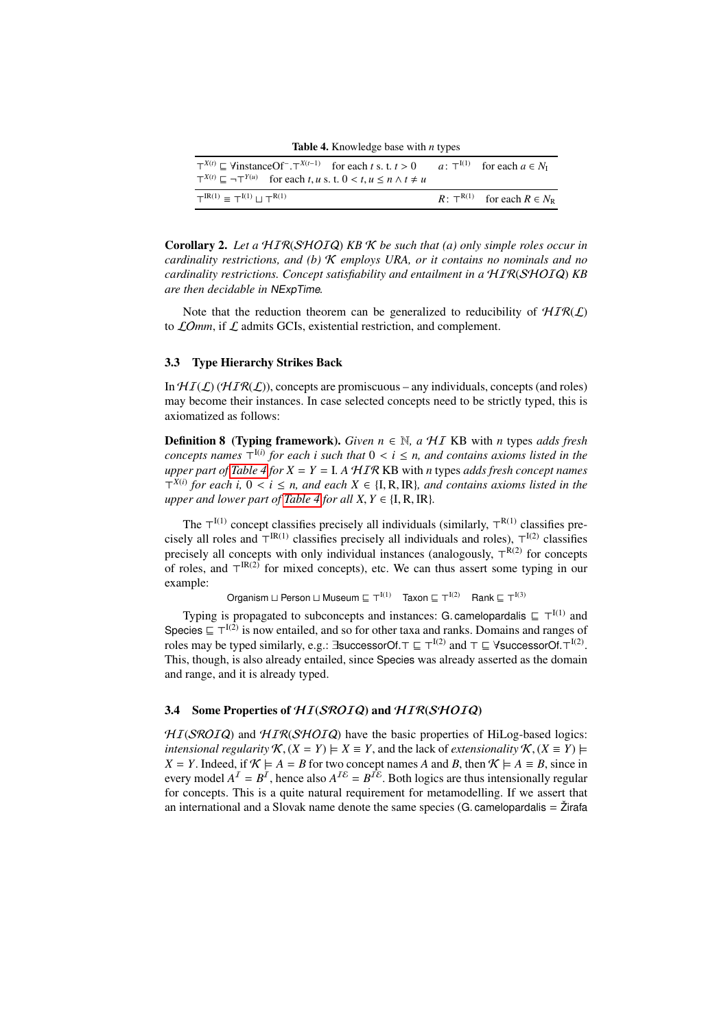Table 4. Knowledge base with *n* types

<span id="page-9-2"></span>

| $T^{X(t)} \sqsubseteq$ VinstanceOf <sup>-</sup> . $T^{X(t-1)}$ for each t s. t. $t > 0$<br>$T^{X(t)} \sqsubseteq \neg T^{Y(u)}$ for each t, u s. t. $0 < t, u \le n \land t \ne u$ | $a: \top^{1(1)}$ for each $a \in N_1$ |
|------------------------------------------------------------------------------------------------------------------------------------------------------------------------------------|---------------------------------------|
| $T^{IR(1)} = T^{I(1)} + T^{R(1)}$                                                                                                                                                  | $R: \top^{R(1)}$ for each $R \in N_R$ |

Corollary 2. *Let a* HIR(SHOIQ) *KB* K *be such that (a) only simple roles occur in cardinality restrictions, and (b)* K *employs URA, or it contains no nominals and no cardinality restrictions. Concept satisfiability and entailment in a* HIR(SHOIQ) *KB are then decidable in* NExpTime*.*

Note that the reduction theorem can be generalized to reducibility of  $HIR(\mathcal{L})$ to LO*mm*, if L admits GCIs, existential restriction, and complement.

#### <span id="page-9-0"></span>3.3 Type Hierarchy Strikes Back

In  $H_I(\mathcal{L})$  ( $H_I(\mathcal{R}(\mathcal{L}))$ , concepts are promiscuous – any individuals, concepts (and roles) may become their instances. In case selected concepts need to be strictly typed, this is axiomatized as follows:

**Definition 8 (Typing framework).** *Given n*  $\in$  N, *a* H*I* KB with *n* types *adds fresh concepts names*  $T^{(i)}$  *for each i such that*  $0 < i \leq n$ *, and contains axioms listed in the*<br>*unner part of Table 4 for*  $Y - Y - I$  *A H IR KB with n types adds fresh concept names upper part of [Table 4](#page-9-2) for*  $X = Y = I$ *. A*  $HIR$ *KB with <i>n* types *adds fresh concept names*  $\tau^{X(i)}$  for each i,  $0 \le i \le n$ , and each  $X \in \{\text{I}, \text{R}, \text{IR}\}\$ , and contains axioms listed in the unner and lower part of Table 4 for all  $X, Y \in \text{J}$ , **R**, **IR**) *upper and lower part of [Table 4](#page-9-2) for all*  $X, Y \in \{I, R, IR\}$ *.* 

The  $T^{I(1)}$  concept classifies precisely all individuals (similarly,  $T^{R(1)}$  classifies precisely all roles and  $T^{IR(1)}$  classifies precisely all individuals and roles),  $T^{I(2)}$  classifies precisely all concepts with only individual instances (analogously,  $T^{R(2)}$  for concepts of roles, and  $T^{IR(2)}$  for mixed concepts), etc. We can thus assert some typing in our example:

Organism  $\sqcup$  Person  $\sqcup$  Museum  $\sqsubseteq T^{I(1)}$  Taxon  $\sqsubseteq T^{I(2)}$  Rank  $\sqsubseteq T^{I(3)}$ 

Typing is propagated to subconcepts and instances: G. camelopardalis  $\subseteq T^{I(1)}$  and Species  $\subseteq T^{I(2)}$  is now entailed, and so for other taxa and ranks. Domains and ranges of roles may be typed similarly, e.g.: ∃successorOf.  $\top \sqsubseteq \top^{l(2)}$  and  $\top \sqsubseteq \forall$  successorOf.  $\top^{l(2)}$ .<br>This though is also already entailed, since Species was already asserted as the domain This, though, is also already entailed, since Species was already asserted as the domain and range, and it is already typed.

## <span id="page-9-1"></span>3.4 Some Properties of  $HISROIQ$  and  $HIR(SHOIQ)$

 $HISROIQ$ ) and  $HIR(SHOIQ)$  have the basic properties of HiLog-based logics: *intensional regularity*  $\mathcal{K}, (X = Y) \models X \equiv Y$ , and the lack of *extensionality*  $\mathcal{K}, (X = Y) \models Y$  $X = Y$ . Indeed, if  $\mathcal{K} \models A = B$  for two concept names *A* and *B*, then  $\mathcal{K} \models A \equiv B$ , since in every model  $A^I = B^I$ , hence also  $A^{I\mathcal{E}} = B^{I\mathcal{E}}$ . Both logics are thus intensionally regular for concepts. This is a quite natural requirement for metamodelling. If we assert that an international and a Slovak name denote the same species (G. camelopardalis  $=$  Žirafa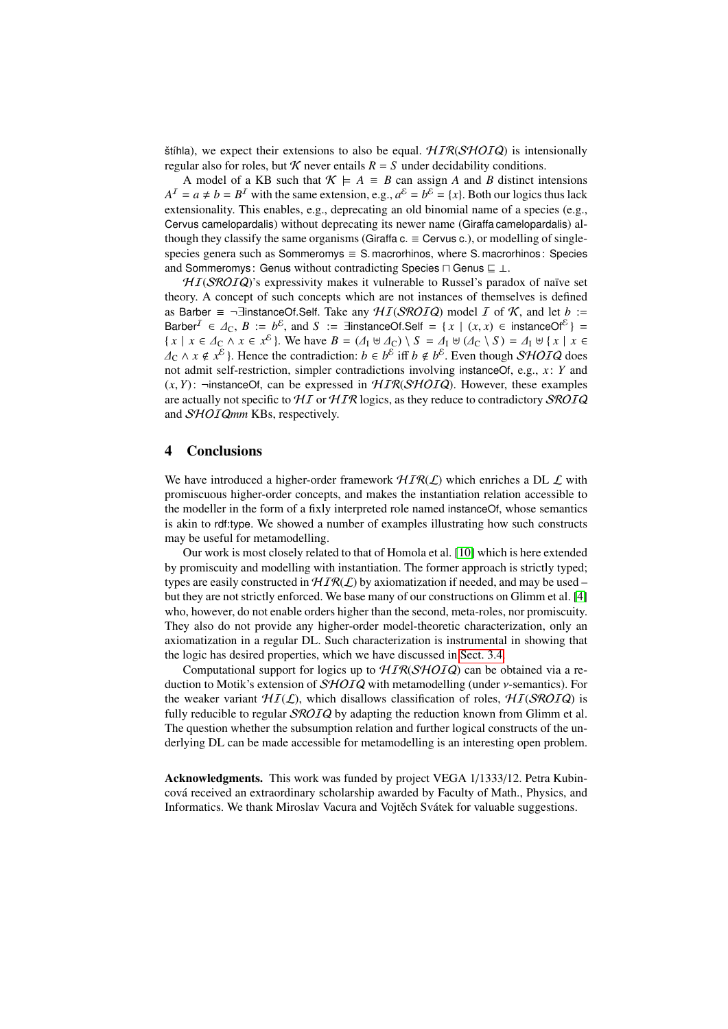štíhla), we expect their extensions to also be equal.  $HIR(SHOIQ)$  is intensionally regular also for roles, but  $K$  never entails  $R = S$  under decidability conditions.

A model of a KB such that  $\mathcal{K} \models A \equiv B$  can assign *A* and *B* distinct intensions  $A^{\mathcal{I}} = a \neq b = B^{\mathcal{I}}$  with the same extension, e.g.,  $a^{\mathcal{E}} = b^{\mathcal{E}} = \{x\}$ . Both our logics thus lack extensionality. This enables, e.g., deprecating an old binomial name of a species (e.g., Cervus camelopardalis) without deprecating its newer name (Giraffa camelopardalis) although they classify the same organisms (Giraffa c.  $\equiv$  Cervus c.), or modelling of singlespecies genera such as Sommeromys  $\equiv$  S. macrorhinos, where S. macrorhinos : Species and Sommeromys: Genus without contradicting Species  $\Box$  Genus  $\sqsubseteq \bot$ .

 $HI(SROIQ)$ 's expressivity makes it vulnerable to Russel's paradox of naïve set theory. A concept of such concepts which are not instances of themselves is defined as Barber  $\equiv \neg$  - ∃instance Of Self. Take any  $H_I(SROIQ)$  model I of K, and let b := Barber<sup>I</sup> ∈  $\Delta$ <sub>C</sub>,  $B := b^{\varepsilon}$ , and  $S := \exists$  instanceOf.Self = { $x \mid (x, x) \in \text{instanceOf}^{\varepsilon}$ } = { $x \mid (x, x) \in \text{instanceOf}^{\varepsilon}$ }  $\{x \mid x \in \Delta_C \land x \in x^{\mathcal{E}}\}$ . We have  $B = (A_1 \uplus \Delta_C) \setminus S = A_1 \uplus (\Delta_C \setminus S) = A_1 \uplus \{x \mid x \in A_1 \land x \in A_2 \}$ . Hence the contradiction:  $b \in b^{\mathcal{E}}$  iff  $b \notin b^{\mathcal{E}}$ . Even though *SHOTO* does  $\Delta_C \wedge x \notin x^{\mathcal{E}}$ . Hence the contradiction:  $b \in b^{\mathcal{E}}$  iff  $b \notin b^{\mathcal{E}}$ . Even though *SHOIQ* does not admit self-restriction, simpler contradictions involving instanceOf, e.g., *x* : *Y* and  $(x, Y)$ :  $\neg$  instance Of, can be expressed in  $HIR(SHOIQ)$ . However, these examples are actually not specific to  $H_I$  or  $H_I$ R logics, as they reduce to contradictory SROIQ and SHOIQ*mm* KBs, respectively.

# <span id="page-10-0"></span>4 Conclusions

We have introduced a higher-order framework  $HIR(\mathcal{L})$  which enriches a DL  $\mathcal L$  with promiscuous higher-order concepts, and makes the instantiation relation accessible to the modeller in the form of a fixly interpreted role named instanceOf, whose semantics is akin to rdf:type. We showed a number of examples illustrating how such constructs may be useful for metamodelling.

Our work is most closely related to that of Homola et al. [\[10\]](#page-11-2) which is here extended by promiscuity and modelling with instantiation. The former approach is strictly typed; types are easily constructed in  $HIR(\mathcal{L})$  by axiomatization if needed, and may be used – but they are not strictly enforced. We base many of our constructions on Glimm et al. [\[4\]](#page-11-1) who, however, do not enable orders higher than the second, meta-roles, nor promiscuity. They also do not provide any higher-order model-theoretic characterization, only an axiomatization in a regular DL. Such characterization is instrumental in showing that the logic has desired properties, which we have discussed in [Sect. 3.4.](#page-9-1)

Computational support for logics up to  $HIR(SHOIQ)$  can be obtained via a reduction to Motik's extension of  $\mathcal{SHOIQ}$  with metamodelling (under *v*-semantics). For the weaker variant  $HI(\mathcal{L})$ , which disallows classification of roles,  $HI(SROIQ)$  is fully reducible to regular  $SROIQ$  by adapting the reduction known from Glimm et al. The question whether the subsumption relation and further logical constructs of the underlying DL can be made accessible for metamodelling is an interesting open problem.

Acknowledgments. This work was funded by project VEGA 1/1333/12. Petra Kubincová received an extraordinary scholarship awarded by Faculty of Math., Physics, and Informatics. We thank Miroslav Vacura and Vojtěch Svátek for valuable suggestions.